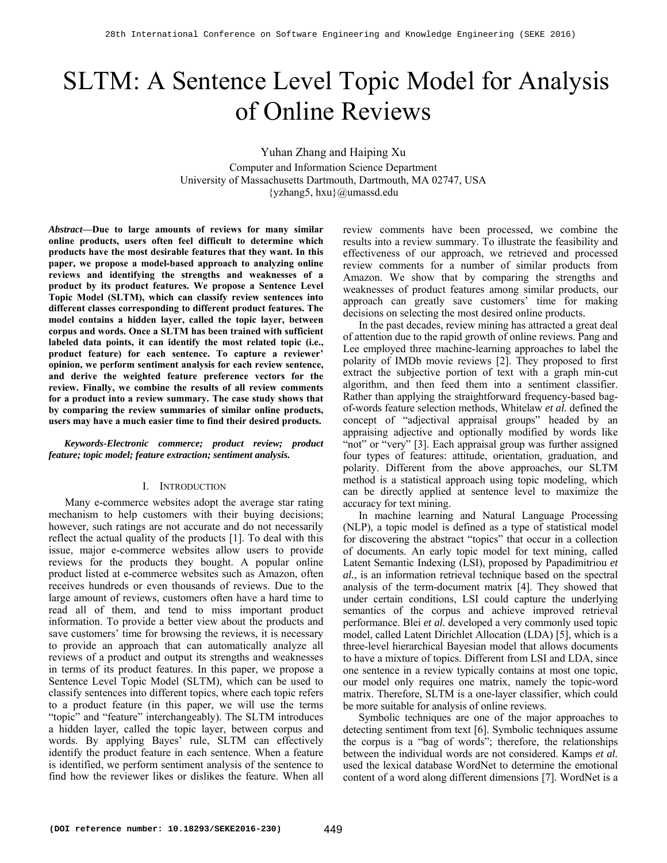# SLTM: A Sentence Level Topic Model for Analysis of Online Reviews

Yuhan Zhang and Haiping Xu Computer and Information Science Department University of Massachusetts Dartmouth, Dartmouth, MA 02747, USA {yzhang5, hxu}@umassd.edu

*Abstract***—Due to large amounts of reviews for many similar online products, users often feel difficult to determine which products have the most desirable features that they want. In this paper, we propose a model-based approach to analyzing online reviews and identifying the strengths and weaknesses of a product by its product features. We propose a Sentence Level Topic Model (SLTM), which can classify review sentences into different classes corresponding to different product features. The model contains a hidden layer, called the topic layer, between corpus and words. Once a SLTM has been trained with sufficient labeled data points, it can identify the most related topic (i.e., product feature) for each sentence. To capture a reviewer' opinion, we perform sentiment analysis for each review sentence, and derive the weighted feature preference vectors for the review. Finally, we combine the results of all review comments for a product into a review summary. The case study shows that by comparing the review summaries of similar online products, users may have a much easier time to find their desired products.** 

*Keywords-Electronic commerce; product review; product feature; topic model; feature extraction; sentiment analysis.* 

## I. INTRODUCTION

Many e-commerce websites adopt the average star rating mechanism to help customers with their buying decisions; however, such ratings are not accurate and do not necessarily reflect the actual quality of the products [1]. To deal with this issue, major e-commerce websites allow users to provide reviews for the products they bought. A popular online product listed at e-commerce websites such as Amazon, often receives hundreds or even thousands of reviews. Due to the large amount of reviews, customers often have a hard time to read all of them, and tend to miss important product information. To provide a better view about the products and save customers' time for browsing the reviews, it is necessary to provide an approach that can automatically analyze all reviews of a product and output its strengths and weaknesses in terms of its product features. In this paper, we propose a Sentence Level Topic Model (SLTM), which can be used to classify sentences into different topics, where each topic refers to a product feature (in this paper, we will use the terms "topic" and "feature" interchangeably). The SLTM introduces a hidden layer, called the topic layer, between corpus and words. By applying Bayes' rule, SLTM can effectively identify the product feature in each sentence. When a feature is identified, we perform sentiment analysis of the sentence to find how the reviewer likes or dislikes the feature. When all

review comments have been processed, we combine the results into a review summary. To illustrate the feasibility and effectiveness of our approach, we retrieved and processed review comments for a number of similar products from Amazon. We show that by comparing the strengths and weaknesses of product features among similar products, our approach can greatly save customers' time for making decisions on selecting the most desired online products.

In the past decades, review mining has attracted a great deal of attention due to the rapid growth of online reviews. Pang and Lee employed three machine-learning approaches to label the polarity of IMDb movie reviews [2]. They proposed to first extract the subjective portion of text with a graph min-cut algorithm, and then feed them into a sentiment classifier. Rather than applying the straightforward frequency-based bagof-words feature selection methods, Whitelaw *et al.* defined the concept of "adjectival appraisal groups" headed by an appraising adjective and optionally modified by words like "not" or "very" [3]. Each appraisal group was further assigned four types of features: attitude, orientation, graduation, and polarity. Different from the above approaches, our SLTM method is a statistical approach using topic modeling, which can be directly applied at sentence level to maximize the accuracy for text mining.

In machine learning and Natural Language Processing (NLP), a topic model is defined as a type of statistical model for discovering the abstract "topics" that occur in a collection of documents. An early topic model for text mining, called Latent Semantic Indexing (LSI), proposed by Papadimitriou *et al.*, is an information retrieval technique based on the spectral analysis of the term-document matrix [4]. They showed that under certain conditions, LSI could capture the underlying semantics of the corpus and achieve improved retrieval performance. Blei *et al.* developed a very commonly used topic model, called Latent Dirichlet Allocation (LDA) [5], which is a three-level hierarchical Bayesian model that allows documents to have a mixture of topics. Different from LSI and LDA, since one sentence in a review typically contains at most one topic, our model only requires one matrix, namely the topic-word matrix. Therefore, SLTM is a one-layer classifier, which could be more suitable for analysis of online reviews.

Symbolic techniques are one of the major approaches to detecting sentiment from text [6]. Symbolic techniques assume the corpus is a "bag of words"; therefore, the relationships between the individual words are not considered. Kamps *et al.* used the lexical database WordNet to determine the emotional content of a word along different dimensions [7]. WordNet is a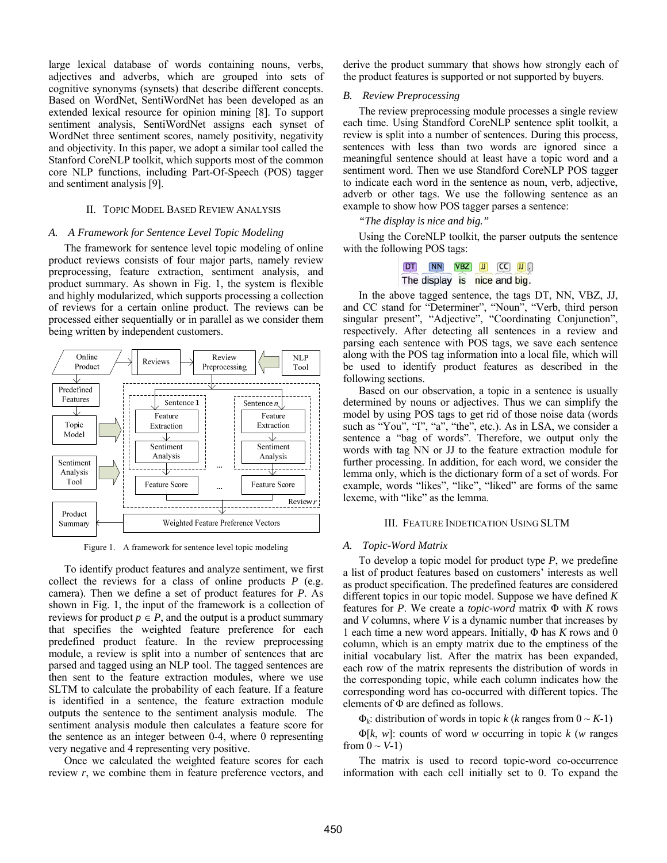large lexical database of words containing nouns, verbs, adjectives and adverbs, which are grouped into sets of cognitive synonyms (synsets) that describe different concepts. Based on WordNet, SentiWordNet has been developed as an extended lexical resource for opinion mining [8]. To support sentiment analysis, SentiWordNet assigns each synset of WordNet three sentiment scores, namely positivity, negativity and objectivity. In this paper, we adopt a similar tool called the Stanford CoreNLP toolkit, which supports most of the common core NLP functions, including Part-Of-Speech (POS) tagger and sentiment analysis [9].

## II. TOPIC MODEL BASED REVIEW ANALYSIS

#### *A. A Framework for Sentence Level Topic Modeling*

The framework for sentence level topic modeling of online product reviews consists of four major parts, namely review preprocessing, feature extraction, sentiment analysis, and product summary. As shown in Fig. 1, the system is flexible and highly modularized, which supports processing a collection of reviews for a certain online product. The reviews can be processed either sequentially or in parallel as we consider them being written by independent customers.



Figure 1. A framework for sentence level topic modeling

To identify product features and analyze sentiment, we first collect the reviews for a class of online products *P* (e.g. camera). Then we define a set of product features for *P*. As shown in Fig. 1, the input of the framework is a collection of reviews for product  $p \in P$ , and the output is a product summary that specifies the weighted feature preference for each predefined product feature. In the review preprocessing module, a review is split into a number of sentences that are parsed and tagged using an NLP tool. The tagged sentences are then sent to the feature extraction modules, where we use SLTM to calculate the probability of each feature. If a feature is identified in a sentence, the feature extraction module outputs the sentence to the sentiment analysis module. The sentiment analysis module then calculates a feature score for the sentence as an integer between 0-4, where 0 representing very negative and 4 representing very positive.

Once we calculated the weighted feature scores for each review *r*, we combine them in feature preference vectors, and derive the product summary that shows how strongly each of the product features is supported or not supported by buyers.

## *B. Review Preprocessing*

The review preprocessing module processes a single review each time. Using Standford CoreNLP sentence split toolkit, a review is split into a number of sentences. During this process, sentences with less than two words are ignored since a meaningful sentence should at least have a topic word and a sentiment word. Then we use Standford CoreNLP POS tagger to indicate each word in the sentence as noun, verb, adjective, adverb or other tags. We use the following sentence as an example to show how POS tagger parses a sentence:

# *"The display is nice and big."*

Using the CoreNLP toolkit, the parser outputs the sentence with the following POS tags:

In the above tagged sentence, the tags DT, NN, VBZ, JJ, and CC stand for "Determiner", "Noun", "Verb, third person singular present", "Adjective", "Coordinating Conjunction", respectively. After detecting all sentences in a review and parsing each sentence with POS tags, we save each sentence along with the POS tag information into a local file, which will be used to identify product features as described in the following sections.

Based on our observation, a topic in a sentence is usually determined by nouns or adjectives. Thus we can simplify the model by using POS tags to get rid of those noise data (words such as "You", "I", "a", "the", etc.). As in LSA, we consider a sentence a "bag of words". Therefore, we output only the words with tag NN or JJ to the feature extraction module for further processing. In addition, for each word, we consider the lemma only, which is the dictionary form of a set of words. For example, words "likes", "like", "liked" are forms of the same lexeme, with "like" as the lemma.

#### III. FEATURE INDETICATION USING SLTM

#### *A. Topic-Word Matrix*

To develop a topic model for product type *P*, we predefine a list of product features based on customers' interests as well as product specification. The predefined features are considered different topics in our topic model. Suppose we have defined *K* features for *P*. We create a *topic-word* matrix Φ with *K* rows and *V* columns, where *V* is a dynamic number that increases by 1 each time a new word appears. Initially, Φ has *K* rows and 0 column, which is an empty matrix due to the emptiness of the initial vocabulary list. After the matrix has been expanded, each row of the matrix represents the distribution of words in the corresponding topic, while each column indicates how the corresponding word has co-occurred with different topics. The elements of Φ are defined as follows.

 $\Phi_k$ : distribution of words in topic *k* (*k* ranges from  $0 \sim K$ -1)

Φ[*k*, *w*]: counts of word *w* occurring in topic *k* (*w* ranges from  $0 \sim V$ -1)

The matrix is used to record topic-word co-occurrence information with each cell initially set to 0. To expand the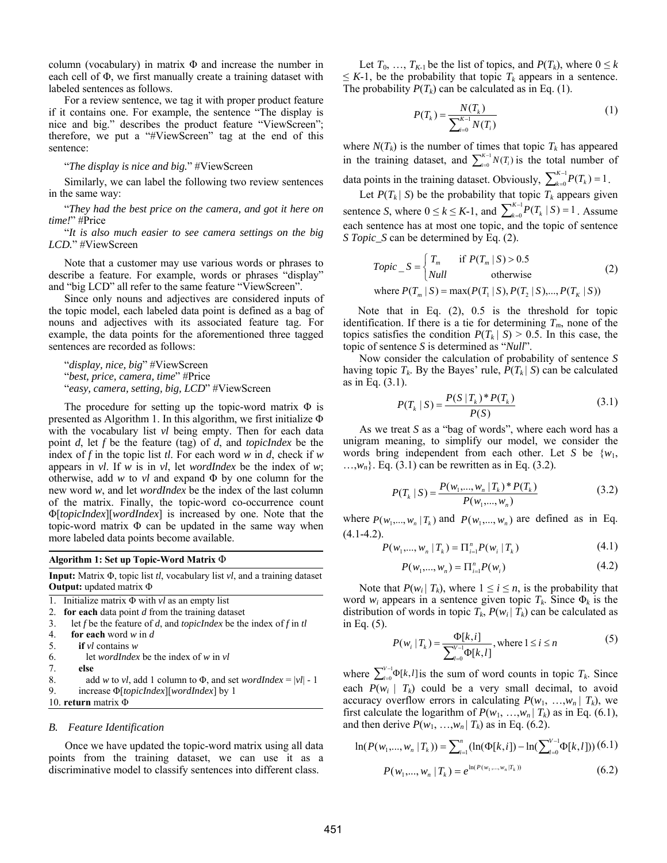column (vocabulary) in matrix  $\Phi$  and increase the number in each cell of Φ, we first manually create a training dataset with labeled sentences as follows.

For a review sentence, we tag it with proper product feature if it contains one. For example, the sentence "The display is nice and big." describes the product feature "ViewScreen"; therefore, we put a "#ViewScreen" tag at the end of this sentence:

"*The display is nice and big.*" #ViewScreen

Similarly, we can label the following two review sentences in the same way:

"*They had the best price on the camera, and got it here on time!*" #Price

"*It is also much easier to see camera settings on the big LCD.*" #ViewScreen

Note that a customer may use various words or phrases to describe a feature. For example, words or phrases "display" and "big LCD" all refer to the same feature "ViewScreen".

Since only nouns and adjectives are considered inputs of the topic model, each labeled data point is defined as a bag of nouns and adjectives with its associated feature tag. For example, the data points for the aforementioned three tagged sentences are recorded as follows:

"*display, nice, big*" #ViewScreen "*best, price, camera, time*" #Price "*easy, camera, setting, big, LCD*" #ViewScreen

The procedure for setting up the topic-word matrix  $\Phi$  is presented as Algorithm 1. In this algorithm, we first initialize Φ with the vocabulary list *vl* being empty. Then for each data point *d*, let *f* be the feature (tag) of *d*, and *topicIndex* be the index of *f* in the topic list *tl*. For each word *w* in *d*, check if *w* appears in *vl*. If *w* is in *vl*, let *wordIndex* be the index of *w*; otherwise, add *w* to *vl* and expand Φ by one column for the new word *w*, and let *wordIndex* be the index of the last column of the matrix. Finally, the topic-word co-occurrence count Φ[*topicIndex*][*wordIndex*] is increased by one. Note that the topic-word matrix Φ can be updated in the same way when more labeled data points become available.

**Algorithm 1: Set up Topic-Word Matrix** Φ

**Input:** Matrix Φ, topic list *tl*, vocabulary list *vl*, and a training dataset **Output:** updated matrix Φ

1. Initialize matrix Φ with *vl* as an empty list 2. **for each** data point *d* from the training dataset

- 3. let *f* be the feature of *d*, and *topicIndex* be the index of *f* in *tl*
- 4. **for each** word *w* in *d*

```
5. if vl contains w
```
- 6. let *wordIndex* be the index of *w* in *vl*
- 7. **else**
- 8. add *w* to *vl*, add 1 column to  $\Phi$ , and set *wordIndex* = |*vl*| 1 9. increase Φ[*topicIndex*][*wordIndex*] by 1
- 10. **return** matrix Φ

#### *B. Feature Identification*

Once we have updated the topic-word matrix using all data points from the training dataset, we can use it as a discriminative model to classify sentences into different class.

Let  $T_0$ , ...,  $T_{K-1}$  be the list of topics, and  $P(T_k)$ , where  $0 \le k$  $\leq K-1$ , be the probability that topic  $T_k$  appears in a sentence. The probability  $P(T_k)$  can be calculated as in Eq. (1).

$$
P(T_k) = \frac{N(T_k)}{\sum_{i=0}^{K-1} N(T_i)}
$$
(1)

where  $N(T_k)$  is the number of times that topic  $T_k$  has appeared in the training dataset, and  $\sum_{i=0}^{K-1} N(T_i)$  is the total number of data points in the training dataset. Obviously,  $\sum_{k=0}^{K-1} P(T_k) = 1$ .  $\int_{i=0}^{K-1} N(T_i)$ 

Let  $P(T_k | S)$  be the probability that topic  $T_k$  appears given sentence *S*, where  $0 \le k \le K-1$ , and  $\sum_{k=0}^{K-1} P(T_k | S) = 1$ . Assume each sentence has at most one topic, and the topic of sentence *S Topic\_S* can be determined by Eq. (2).

*Topic* 
$$
S = \begin{cases} T_m & \text{if } P(T_m | S) > 0.5 \\ Null & \text{otherwise} \end{cases}
$$
 (2)  
where  $P(T_m | S) = \max(P(T_1 | S), P(T_2 | S), ..., P(T_K | S))$ 

Note that in Eq. (2), 0.5 is the threshold for topic identification. If there is a tie for determining  $T_m$ , none of the topics satisfies the condition  $P(T_k | S) > 0.5$ . In this case, the topic of sentence *S* is determined as "*Null*".

Now consider the calculation of probability of sentence *S* having topic  $T_k$ . By the Bayes' rule,  $P(T_k | S)$  can be calculated as in Eq. (3.1).

$$
P(T_k | S) = \frac{P(S | T_k)^* P(T_k)}{P(S)}
$$
(3.1)

As we treat *S* as a "bag of words", where each word has a unigram meaning, to simplify our model, we consider the words bring independent from each other. Let *S* be {*w*1,  $..., w_n$ . Eq. (3.1) can be rewritten as in Eq. (3.2).

$$
P(T_k | S) = \frac{P(w_1, ..., w_n | T_k)^* P(T_k)}{P(w_1, ..., w_n)}
$$
(3.2)

where  $P(w_1,..., w_n | T_k)$  and  $P(w_1,..., w_n)$  are defined as in Eq.  $(4.1 - 4.2)$ .

$$
P(w_1, ..., w_n | T_k) = \prod_{i=1}^n P(w_i | T_k)
$$
\n(4.1)

$$
P(w_1, ..., w_n) = \Pi_{i=1}^n P(w_i)
$$
\n(4.2)

Note that  $P(w_i | T_k)$ , where  $1 \le i \le n$ , is the probability that word  $w_i$  appears in a sentence given topic  $T_k$ . Since  $\Phi_k$  is the distribution of words in topic  $T_k$ ,  $P(w_i | T_k)$  can be calculated as in Eq. (5).

$$
P(w_i | T_k) = \frac{\Phi[k, i]}{\sum_{l=0}^{V-1} \Phi[k, l]}, \text{where } 1 \le i \le n \tag{5}
$$

where  $\sum_{l=0}^{V-1} \Phi[k, l]$  is the sum of word counts in topic  $T_k$ . Since each  $P(w_i | T_k)$  could be a very small decimal, to avoid accuracy overflow errors in calculating  $P(w_1, ..., w_n | T_k)$ , we first calculate the logarithm of  $P(w_1, ..., w_n | T_k)$  as in Eq. (6.1), and then derive  $P(w_1, ..., w_n | T_k)$  as in Eq. (6.2).

$$
\ln(P(w_1, ..., w_n | T_k)) = \sum_{i=1}^n (\ln(\Phi[k, i]) - \ln(\sum_{l=0}^{V-1} \Phi[k, l])) (6.1)
$$

$$
P(w_1, ..., w_n | T_k) = e^{\ln(P(w_1, ..., w_n | T_k))}
$$
(6.2)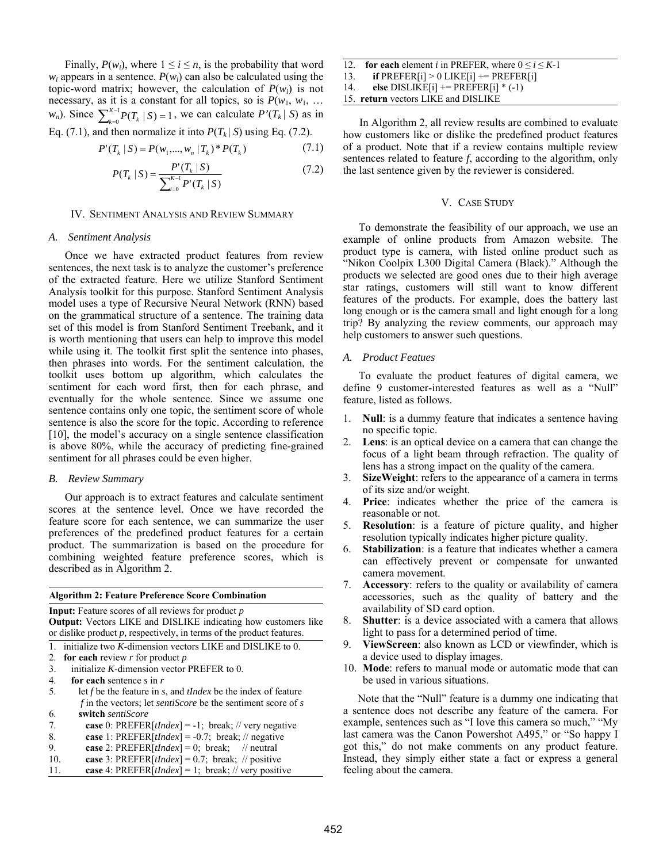Finally,  $P(w_i)$ , where  $1 \le i \le n$ , is the probability that word  $w_i$  appears in a sentence.  $P(w_i)$  can also be calculated using the topic-word matrix; however, the calculation of  $P(w_i)$  is not necessary, as it is a constant for all topics, so is  $P(w_1, w_1, ...$ *w<sub>n</sub>*). Since  $\sum_{k=0}^{K-1} P(T_k | S) = 1$ , we can calculate  $P'(T_k | S)$  as in  $_{k=0}^{K-1}P(T_k | S) = 1$ 

Eq. (7.1), and then normalize it into 
$$
P(T_k | S)
$$
 using Eq. (7.2).  
\n
$$
P'(T_k | S) = P(w_{k+1}, w_{k+1}, w_{k+1}, w_{k+1}, w_{k+1}, \ldots, w_{k+1}, w_{k+1}, \ldots, w_{k+1}, w_{k+1}, \ldots, w_{k+1}, w_{k+1}, \ldots, w_{k+1}, w_{k+1}, \ldots, w_{k+1}, w_{k+1}, \ldots, w_{k+1}, w_{k+1}, \ldots, w_{k+1}, w_{k+1}, \ldots, w_{k+1}, w_{k+1}, \ldots, w_{k+1}, \ldots, w_{k+1}, \ldots, w_{k+1}, \ldots, w_{k+1}, \ldots, w_{k+1}, \ldots, w_{k+1}, \ldots, w_{k+1}, \ldots, w_{k+1}, \ldots, w_{k+1}, \ldots, w_{k+1}, \ldots, w_{k+1}, \ldots, w_{k+1}, \ldots, w_{k+1}, \ldots, w_{k+1}, \ldots, w_{k+1}, \ldots, w_{k+1}, \ldots, w_{k+1}, \ldots, w_{k+1}, \ldots, w_{k+1}, \ldots, w_{k+1}, \ldots, w_{k+1}, \ldots, w_{k+1}, \ldots, w_{k+1}, \ldots, w_{k+1}, \ldots, w_{k+1}, \ldots, w_{k+1}, \ldots, w_{k+1}, \ldots, w_{k+1}, \ldots, w_{k+1}, \ldots, w_{k+1}, \ldots, w_{k+1}, \ldots, w_{k+1}, \ldots, w_{k+1}, \ldots, w_{k+1}, \ldots, w_{k+1}, \ldots, w_{k+1}, \ldots, w_{k+1}, \ldots, w_{k+1}, \ldots, w_{k+1}, \ldots, w_{k+1}, \ldots, w_{k+1}, \ldots, w_{k+1}, \ldots, w_{k+1}, \ldots, w_{k+1}, \ldots, w_{k+1}, \ldots, w_{k+1}, \ldots, w_{k+1}, \ldots, w_{k+1}, \ldots, w_{k+1}, \ldots, w_{k+1}, \ldots, w_{k+1}, \ldots, w_{k+1}, \ldots, w_{k+1}, \ldots, w_{k+1}, \ldots, w_{k+1}, \ldots, w_{k+
$$

$$
P'(T_k | S) = P(w_1, ..., w_n | T_k)^* P(T_k)
$$
 (7.1)

$$
P(T_k | S) = \frac{P'(T_k | S)}{\sum_{i=0}^{K-1} P'(T_k | S)}
$$
(7.2)

#### IV. SENTIMENT ANALYSIS AND REVIEW SUMMARY

#### *A. Sentiment Analysis*

Once we have extracted product features from review sentences, the next task is to analyze the customer's preference of the extracted feature. Here we utilize Stanford Sentiment Analysis toolkit for this purpose. Stanford Sentiment Analysis model uses a type of Recursive Neural Network (RNN) based on the grammatical structure of a sentence. The training data set of this model is from Stanford Sentiment Treebank, and it is worth mentioning that users can help to improve this model while using it. The toolkit first split the sentence into phases, then phrases into words. For the sentiment calculation, the toolkit uses bottom up algorithm, which calculates the sentiment for each word first, then for each phrase, and eventually for the whole sentence. Since we assume one sentence contains only one topic, the sentiment score of whole sentence is also the score for the topic. According to reference [10], the model's accuracy on a single sentence classification is above 80%, while the accuracy of predicting fine-grained sentiment for all phrases could be even higher.

# *B. Review Summary*

Our approach is to extract features and calculate sentiment scores at the sentence level. Once we have recorded the feature score for each sentence, we can summarize the user preferences of the predefined product features for a certain product. The summarization is based on the procedure for combining weighted feature preference scores, which is described as in Algorithm 2.

#### **Algorithm 2: Feature Preference Score Combination**

**Input:** Feature scores of all reviews for product *p* **Output:** Vectors LIKE and DISLIKE indicating how customers like or dislike product *p*, respectively, in terms of the product features.

- 1. initialize two *K*-dimension vectors LIKE and DISLIKE to 0.
- 2. **for each** review *r* for product *p*
- 3. initialize *K*-dimension vector PREFER to 0.
- 4. **for each** sentence *s* in *r*
- 5. let *f* be the feature in *s*, and *tIndex* be the index of feature *f* in the vectors; let *sentiScore* be the sentiment score of *s* 6. **switch** *sentiScore*
- 
- 7. **case** 0: PREFER[*tIndex*] = -1; break; // very negative 8. **case** 1: PREFER[*tIndex*] = -0.7; break; // negative **case** 1: PREFER $[tIndex] = -0.7$ ; break; // negative
- 9. **case** 2: PREFER $[tIndex] = 0$ ; break; // neutral
- 10. **case** 3: PREFER[*tIndex*] = 0.7; break; // positive
- 11. **case** 4: PREFER[*tIndex*] = 1; break; // very positive
- 12. **for each** element *i* in PREFER, where  $0 \le i \le K-1$
- 13. **if**  $PREFER[i] > 0$  LIKE[i] +=  $PREFER[i]$
- 14. **else** DISLIKE[i] += PREFER[i] \* (-1)
- 15. **return** vectors LIKE and DISLIKE

In Algorithm 2, all review results are combined to evaluate how customers like or dislike the predefined product features of a product. Note that if a review contains multiple review sentences related to feature *f*, according to the algorithm, only the last sentence given by the reviewer is considered.

#### V. CASE STUDY

To demonstrate the feasibility of our approach, we use an example of online products from Amazon website. The product type is camera, with listed online product such as "Nikon Coolpix L300 Digital Camera (Black)." Although the products we selected are good ones due to their high average star ratings, customers will still want to know different features of the products. For example, does the battery last long enough or is the camera small and light enough for a long trip? By analyzing the review comments, our approach may help customers to answer such questions.

## *A. Product Featues*

To evaluate the product features of digital camera, we define 9 customer-interested features as well as a "Null" feature, listed as follows.

- 1. **Null**: is a dummy feature that indicates a sentence having no specific topic.
- 2. **Lens**: is an optical device on a camera that can change the focus of a light beam through refraction. The quality of lens has a strong impact on the quality of the camera.
- 3. **SizeWeight**: refers to the appearance of a camera in terms of its size and/or weight.
- 4. **Price**: indicates whether the price of the camera is reasonable or not.
- 5. **Resolution**: is a feature of picture quality, and higher resolution typically indicates higher picture quality.
- **Stabilization**: is a feature that indicates whether a camera can effectively prevent or compensate for unwanted camera movement.
- 7. **Accessory**: refers to the quality or availability of camera accessories, such as the quality of battery and the availability of SD card option.
- 8. **Shutter**: is a device associated with a camera that allows light to pass for a determined period of time.
- 9. **ViewScreen**: also known as LCD or viewfinder, which is a device used to display images.
- 10. **Mode**: refers to manual mode or automatic mode that can be used in various situations.

Note that the "Null" feature is a dummy one indicating that a sentence does not describe any feature of the camera. For example, sentences such as "I love this camera so much," "My last camera was the Canon Powershot A495," or "So happy I got this," do not make comments on any product feature. Instead, they simply either state a fact or express a general feeling about the camera.